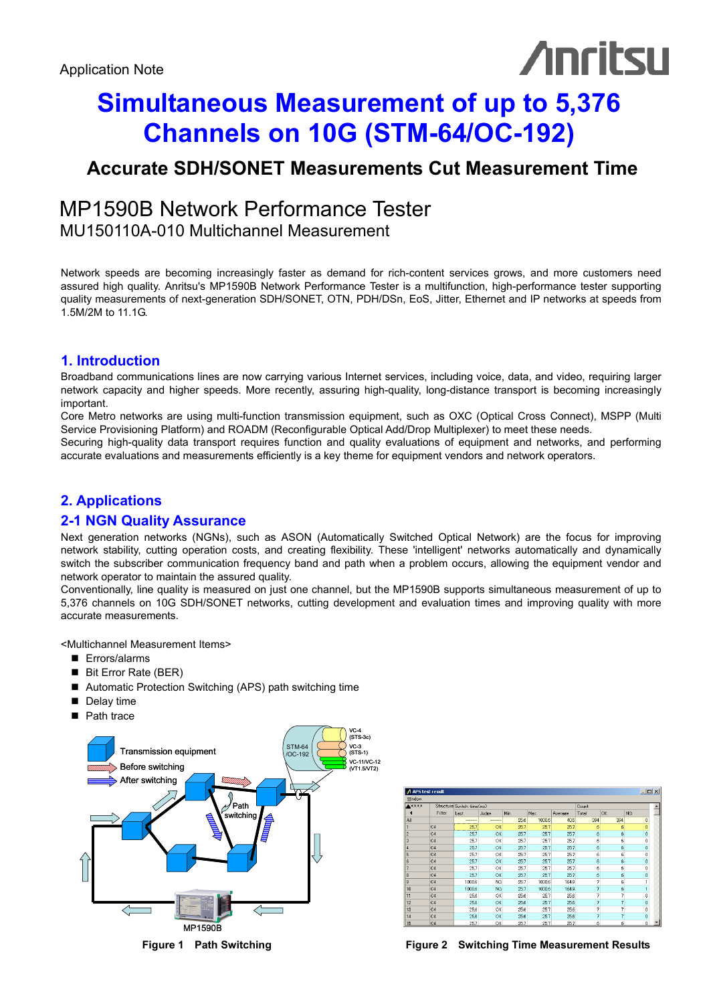# **Anritsu**

## **Simultaneous Measurement of up to 5,376 Channels on 10G (STM-64/OC-192)**

### **Accurate SDH/SONET Measurements Cut Measurement Time**

#### MP1590B Network Performance Tester MU150110A-010 Multichannel Measurement

Network speeds are becoming increasingly faster as demand for rich-content services grows, and more customers need assured high quality. Anritsu's MP1590B Network Performance Tester is a multifunction, high-performance tester supporting quality measurements of next-generation SDH/SONET, OTN, PDH/DSn, EoS, Jitter, Ethernet and IP networks at speeds from 1.5M/2M to 11.1G.

#### **1. Introduction**

Broadband communications lines are now carrying various Internet services, including voice, data, and video, requiring larger network capacity and higher speeds. More recently, assuring high-quality, long-distance transport is becoming increasingly important.

Core Metro networks are using multi-function transmission equipment, such as OXC (Optical Cross Connect), MSPP (Multi Service Provisioning Platform) and ROADM (Reconfigurable Optical Add/Drop Multiplexer) to meet these needs.

Securing high-quality data transport requires function and quality evaluations of equipment and networks, and performing accurate evaluations and measurements efficiently is a key theme for equipment vendors and network operators.

#### **2. Applications**

#### **2-1 NGN Quality Assurance**

Next generation networks (NGNs), such as ASON (Automatically Switched Optical Network) are the focus for improving network stability, cutting operation costs, and creating flexibility. These 'intelligent' networks automatically and dynamically switch the subscriber communication frequency band and path when a problem occurs, allowing the equipment vendor and network operator to maintain the assured quality.

Conventionally, line quality is measured on just one channel, but the MP1590B supports simultaneous measurement of up to 5,376 channels on 10G SDH/SONET networks, cutting development and evaluation times and improving quality with more accurate measurements.

<Multichannel Measurement Items>

- **Errors/alarms**
- Bit Error Rate (BER)
- Automatic Protection Switching (APS) path switching time
- Delay time
- Path trace



| Window |                |                            |       |      |        |         |              |     |                |  |
|--------|----------------|----------------------------|-------|------|--------|---------|--------------|-----|----------------|--|
| $****$ |                | Structure Switch time (ms) |       |      |        |         | <b>Count</b> |     |                |  |
|        | Filter         | Last                       | Judge | Min  | Max.   | Average | Total        | OK  | <b>NG</b>      |  |
| All    |                |                            | ---   | 25.6 | 1000.6 | 40.5    | 394          | 394 | $\overline{0}$ |  |
|        | C4             | 25.7                       | OK    | 25.7 | 25.7   | 25.7    | 6            | ĥ   | ō              |  |
| l2     | C4             | 25.7                       | OK    | 25.7 | 25.7   | 25.7    | 6            | 6   | ō              |  |
| l3     | C4             | 25.7                       | ОК    | 25.7 | 25.7   | 25.7    | 6            | 6   | Ō              |  |
| 14     | C4             | 25.7                       | OK    | 25.7 | 25.7   | 25.7    | 6            | 6   | o              |  |
| 15     | C <sub>4</sub> | 25.7                       | ОК    | 25.7 | 25.7   | 25.7    | 6            | 6   | o              |  |
| l6     | C4             | 25.7                       | OK    | 25.7 | 25.7   | 25.7    | 6            | 6   | 0              |  |
|        | C4             | 25.7                       | OK    | 25.7 | 25.7   | 25.7    | 6            | ĥ   | Ō              |  |
| l8     | C <sub>4</sub> | 25.7                       | ок    | 25.7 | 25.7   | 25.7    | 6            | 6   | Ō              |  |
| 19     | C4             | 1000.6                     | NG    | 25.7 | 1000.6 | 164.9   | 7            | 6   |                |  |
| 10     | C4             | 1000.6                     | NG.   | 25.7 | 1000.6 | 164.9   | 7            | 6   |                |  |
| 11     | C <sub>4</sub> | 25.6                       | ок    | 25.6 | 25.7   | 25.6    | 7            | 7   | Ō              |  |
| 12     | C4             | 25.6                       | ОK    | 25.6 | 25.7   | 25.6    | 7            | 7   | o              |  |
| 13     | C4             | 25.6                       | OK    | 25.6 | 25.7   | 25.6    | 7            | 7   | Ō              |  |
| 14     | C4             | 25.6                       | OK    | 25.6 | 25.7   | 25.6    | 7            |     | 0              |  |
| 15     | C4             | 25.7                       | ОК    | 25.7 | 25.7   | 25.7    | 6            | ĥ   | 0              |  |

**Figure 1 Path Switching Figure 2 Switching Time Measurement Results**